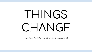## THINGS CHANGE

By ; Bella C, Bella S, Mila M, and Katarina M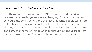## Theme and three sentence description

The theme we are proposing is THINGS CHANGE, and this idea is relevant because things are always changing, for example the new schedule, the construction, and the fact that some people went from online back to in-person school. The look of the yearbook would be like any standard notebook with lined paper and some doodles. We can carry the theme of Things Change throughout the yearbook by using the word Things Change and continuing the color palette.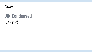

## **DIN Condensed** Caveat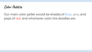**Color Palette**

Our main color pallet would be shades of blue, grey and pops of red, and whichever color the doodles are.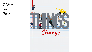**Original Cover Design**